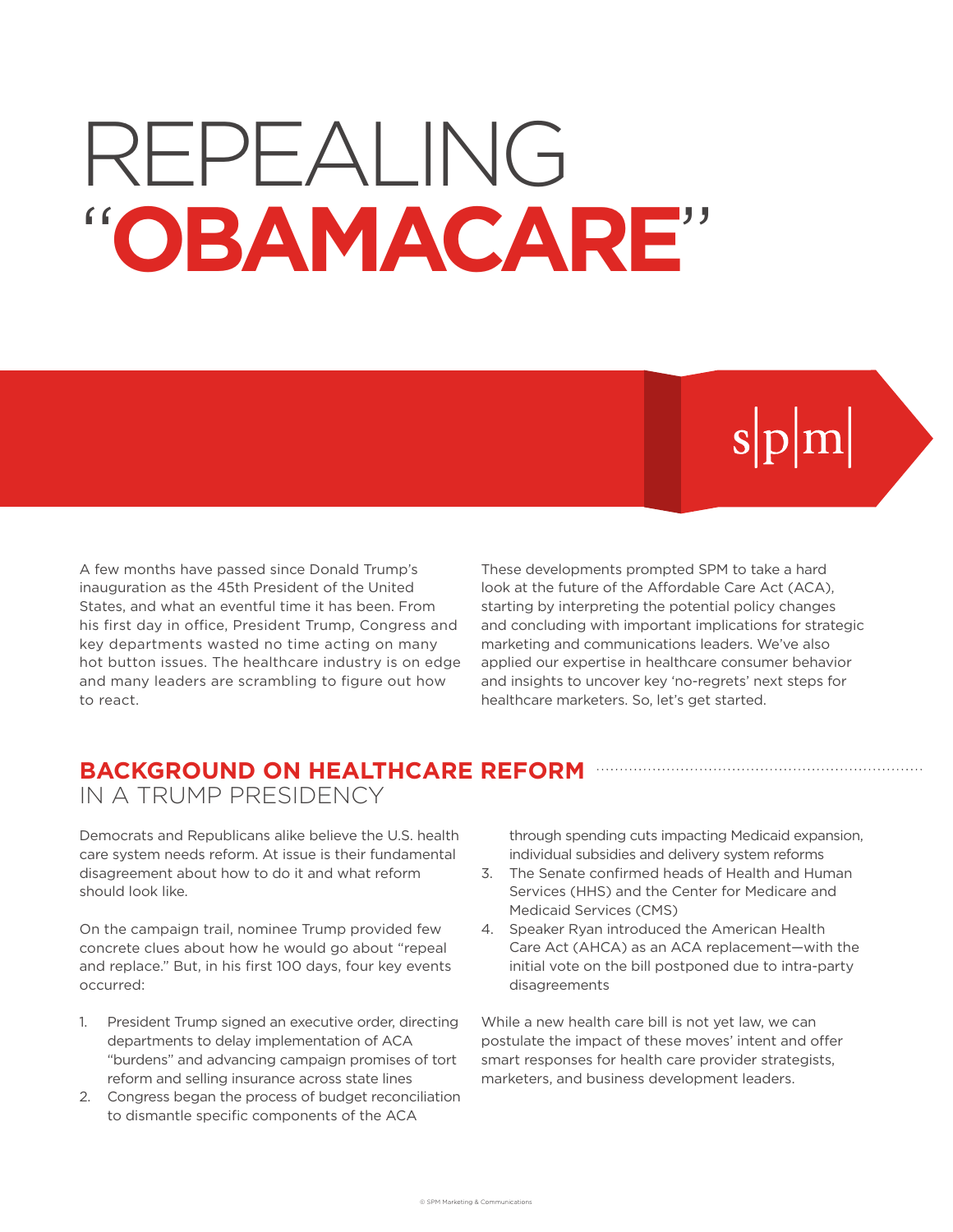# REPEALING "**OBAMACARE**"

# $s|p|m|$

A few months have passed since Donald Trump's inauguration as the 45th President of the United States, and what an eventful time it has been. From his first day in office, President Trump, Congress and key departments wasted no time acting on many hot button issues. The healthcare industry is on edge and many leaders are scrambling to figure out how to react.

These developments prompted SPM to take a hard look at the future of the Affordable Care Act (ACA), starting by interpreting the potential policy changes and concluding with important implications for strategic marketing and communications leaders. We've also applied our expertise in healthcare consumer behavior and insights to uncover key 'no-regrets' next steps for healthcare marketers. So, let's get started.

### **BACKGROUND ON HEALTHCARE REFORM** IN A TRUMP PRESIDENCY

Democrats and Republicans alike believe the U.S. health care system needs reform. At issue is their fundamental disagreement about how to do it and what reform should look like.

On the campaign trail, nominee Trump provided few concrete clues about how he would go about "repeal and replace." But, in his first 100 days, four key events occurred:

- 1. President Trump signed an executive order, directing departments to delay implementation of ACA "burdens" and advancing campaign promises of tort reform and selling insurance across state lines
- 2. Congress began the process of budget reconciliation to dismantle specific components of the ACA

through spending cuts impacting Medicaid expansion, individual subsidies and delivery system reforms

- 3. The Senate confirmed heads of Health and Human Services (HHS) and the Center for Medicare and Medicaid Services (CMS)
- 4. Speaker Ryan introduced the American Health Care Act (AHCA) as an ACA replacement—with the initial vote on the bill postponed due to intra-party disagreements

While a new health care bill is not yet law, we can postulate the impact of these moves' intent and offer smart responses for health care provider strategists, marketers, and business development leaders.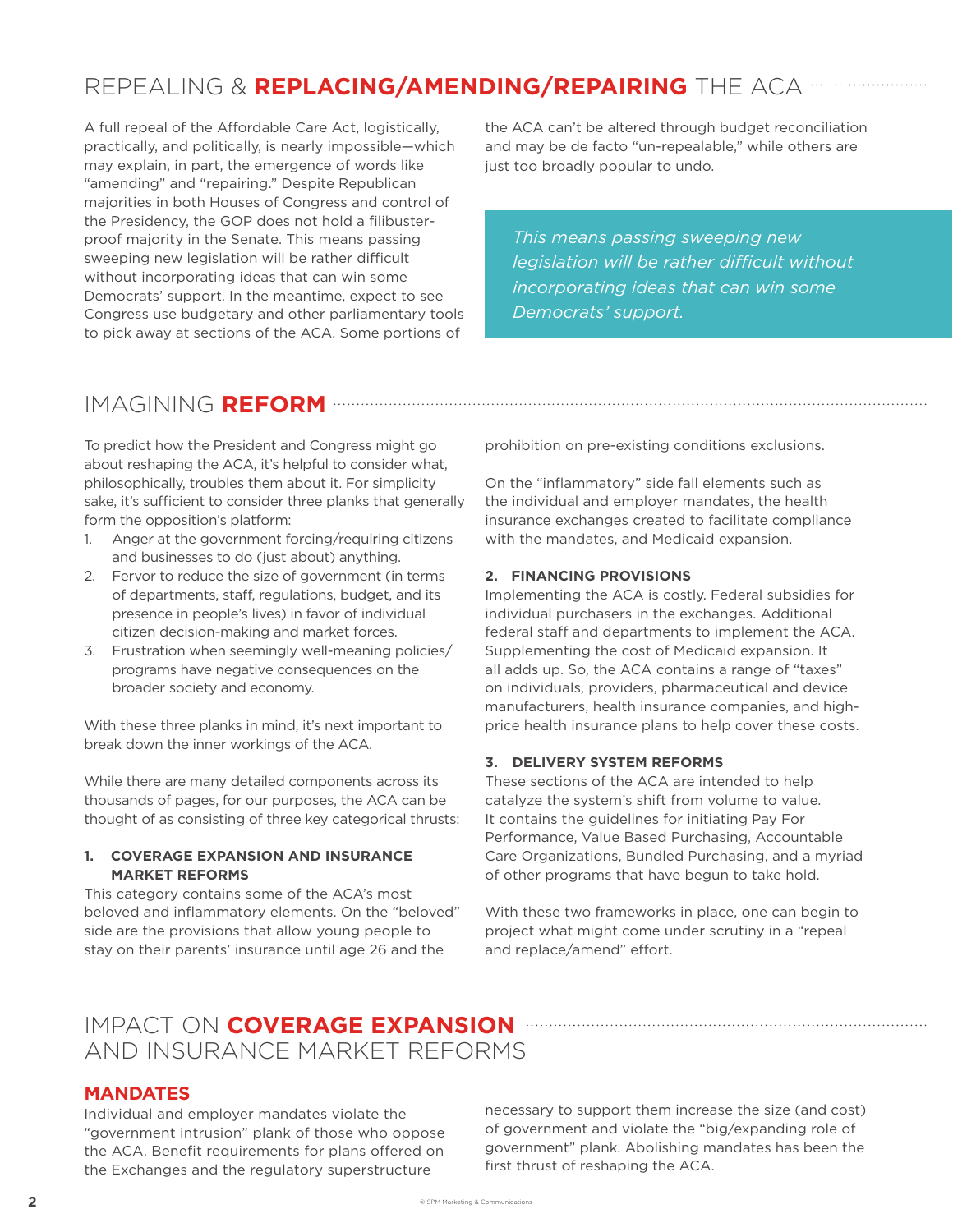# REPEALING & **REPLACING/AMENDING/REPAIRING** THE ACA

A full repeal of the Affordable Care Act, logistically, practically, and politically, is nearly impossible—which may explain, in part, the emergence of words like "amending" and "repairing." Despite Republican majorities in both Houses of Congress and control of the Presidency, the GOP does not hold a filibusterproof majority in the Senate. This means passing sweeping new legislation will be rather difficult without incorporating ideas that can win some Democrats' support. In the meantime, expect to see Congress use budgetary and other parliamentary tools to pick away at sections of the ACA. Some portions of

the ACA can't be altered through budget reconciliation and may be de facto "un-repealable," while others are just too broadly popular to undo.

*This means passing sweeping new legislation will be rather difcult without incorporating ideas that can win some Democrats' support.*

## IMAGINING **REFORM**

To predict how the President and Congress might go about reshaping the ACA, it's helpful to consider what, philosophically, troubles them about it. For simplicity sake, it's sufficient to consider three planks that generally form the opposition's platform:

- 1. Anger at the government forcing/requiring citizens and businesses to do (just about) anything.
- 2. Fervor to reduce the size of government (in terms of departments, staff, regulations, budget, and its presence in people's lives) in favor of individual citizen decision-making and market forces.
- 3. Frustration when seemingly well-meaning policies/ programs have negative consequences on the broader society and economy.

With these three planks in mind, it's next important to break down the inner workings of the ACA.

While there are many detailed components across its thousands of pages, for our purposes, the ACA can be thought of as consisting of three key categorical thrusts:

#### **1. COVERAGE EXPANSION AND INSURANCE MARKET REFORMS**

This category contains some of the ACA's most beloved and inflammatory elements. On the "beloved" side are the provisions that allow young people to stay on their parents' insurance until age 26 and the

prohibition on pre-existing conditions exclusions.

On the "inflammatory" side fall elements such as the individual and employer mandates, the health insurance exchanges created to facilitate compliance with the mandates, and Medicaid expansion.

#### **2. FINANCING PROVISIONS**

Implementing the ACA is costly. Federal subsidies for individual purchasers in the exchanges. Additional federal staff and departments to implement the ACA. Supplementing the cost of Medicaid expansion. It all adds up. So, the ACA contains a range of "taxes" on individuals, providers, pharmaceutical and device manufacturers, health insurance companies, and highprice health insurance plans to help cover these costs.

#### **3. DELIVERY SYSTEM REFORMS**

These sections of the ACA are intended to help catalyze the system's shift from volume to value. It contains the guidelines for initiating Pay For Performance, Value Based Purchasing, Accountable Care Organizations, Bundled Purchasing, and a myriad of other programs that have begun to take hold.

With these two frameworks in place, one can begin to project what might come under scrutiny in a "repeal and replace/amend" effort.

# IMPACT ON **COVERAGE EXPANSION**  AND INSURANCE MARKET REFORMS

#### **MANDATES**

Individual and employer mandates violate the "government intrusion" plank of those who oppose the ACA. Benefit requirements for plans offered on the Exchanges and the regulatory superstructure

necessary to support them increase the size (and cost) of government and violate the "big/expanding role of government" plank. Abolishing mandates has been the first thrust of reshaping the ACA.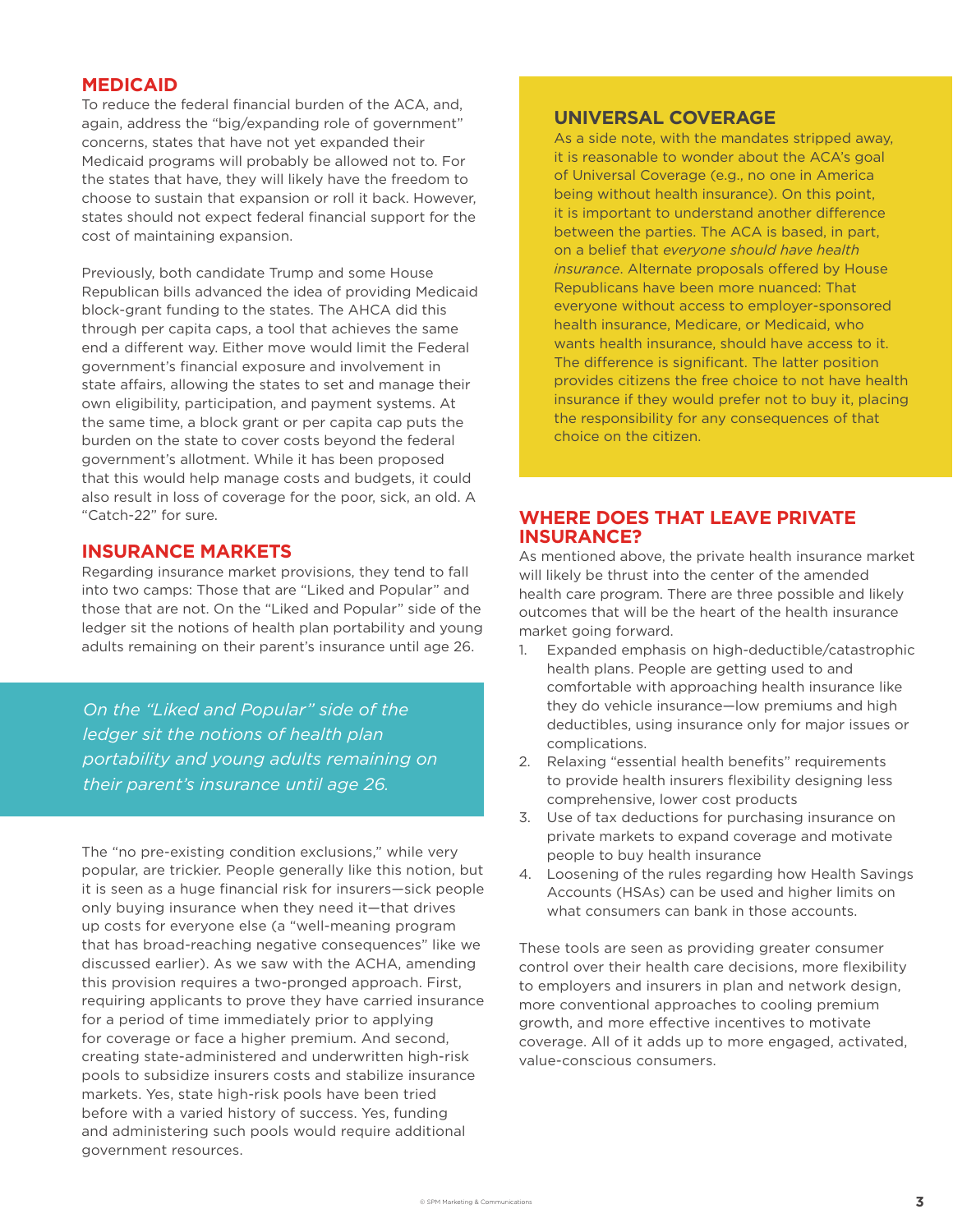#### **MEDICAID**

To reduce the federal financial burden of the ACA, and, again, address the "big/expanding role of government" concerns, states that have not yet expanded their Medicaid programs will probably be allowed not to. For the states that have, they will likely have the freedom to choose to sustain that expansion or roll it back. However, states should not expect federal financial support for the cost of maintaining expansion.

Previously, both candidate Trump and some House Republican bills advanced the idea of providing Medicaid block-grant funding to the states. The AHCA did this through per capita caps, a tool that achieves the same end a diferent way. Either move would limit the Federal government's financial exposure and involvement in state affairs, allowing the states to set and manage their own eligibility, participation, and payment systems. At the same time, a block grant or per capita cap puts the burden on the state to cover costs beyond the federal government's allotment. While it has been proposed that this would help manage costs and budgets, it could also result in loss of coverage for the poor, sick, an old. A "Catch-22" for sure.

#### **INSURANCE MARKETS**

Regarding insurance market provisions, they tend to fall into two camps: Those that are "Liked and Popular" and those that are not. On the "Liked and Popular" side of the ledger sit the notions of health plan portability and young adults remaining on their parent's insurance until age 26.

*On the "Liked and Popular" side of the ledger sit the notions of health plan portability and young adults remaining on their parent's insurance until age 26.*

The "no pre-existing condition exclusions," while very popular, are trickier. People generally like this notion, but it is seen as a huge financial risk for insurers—sick people only buying insurance when they need it—that drives up costs for everyone else (a "well-meaning program that has broad-reaching negative consequences" like we discussed earlier). As we saw with the ACHA, amending this provision requires a two-pronged approach. First, requiring applicants to prove they have carried insurance for a period of time immediately prior to applying for coverage or face a higher premium. And second, creating state-administered and underwritten high-risk pools to subsidize insurers costs and stabilize insurance markets. Yes, state high-risk pools have been tried before with a varied history of success. Yes, funding and administering such pools would require additional government resources.

#### **UNIVERSAL COVERAGE**

As a side note, with the mandates stripped away, it is reasonable to wonder about the ACA's goal of Universal Coverage (e.g., no one in America being without health insurance). On this point, it is important to understand another diference between the parties. The ACA is based, in part, on a belief that *everyone should have health insurance*. Alternate proposals offered by House Republicans have been more nuanced: That everyone without access to employer-sponsored health insurance, Medicare, or Medicaid, who wants health insurance, should have access to it. The diference is significant. The latter position provides citizens the free choice to not have health insurance if they would prefer not to buy it, placing the responsibility for any consequences of that choice on the citizen.

#### **WHERE DOES THAT LEAVE PRIVATE INSURANCE?**

As mentioned above, the private health insurance market will likely be thrust into the center of the amended health care program. There are three possible and likely outcomes that will be the heart of the health insurance market going forward.

- 1. Expanded emphasis on high-deductible/catastrophic health plans. People are getting used to and comfortable with approaching health insurance like they do vehicle insurance—low premiums and high deductibles, using insurance only for major issues or complications.
- 2. Relaxing "essential health benefits" requirements to provide health insurers flexibility designing less comprehensive, lower cost products
- 3. Use of tax deductions for purchasing insurance on private markets to expand coverage and motivate people to buy health insurance
- 4. Loosening of the rules regarding how Health Savings Accounts (HSAs) can be used and higher limits on what consumers can bank in those accounts.

These tools are seen as providing greater consumer control over their health care decisions, more flexibility to employers and insurers in plan and network design, more conventional approaches to cooling premium growth, and more efective incentives to motivate coverage. All of it adds up to more engaged, activated, value-conscious consumers.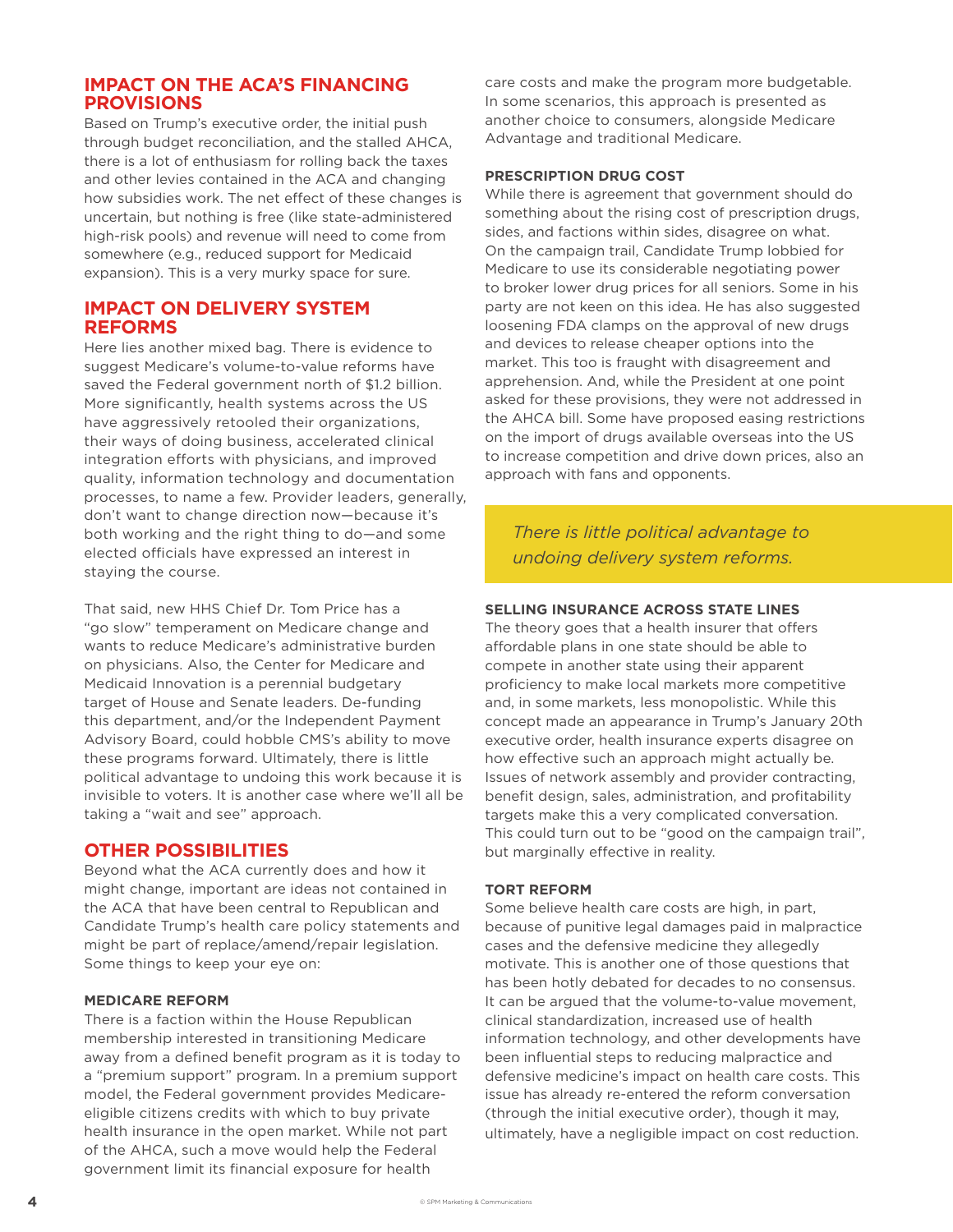#### **IMPACT ON THE ACA'S FINANCING PROVISIONS**

Based on Trump's executive order, the initial push through budget reconciliation, and the stalled AHCA, there is a lot of enthusiasm for rolling back the taxes and other levies contained in the ACA and changing how subsidies work. The net effect of these changes is uncertain, but nothing is free (like state-administered high-risk pools) and revenue will need to come from somewhere (e.g., reduced support for Medicaid expansion). This is a very murky space for sure.

#### **IMPACT ON DELIVERY SYSTEM REFORMS**

Here lies another mixed bag. There is evidence to suggest Medicare's volume-to-value reforms have saved the Federal government north of \$1.2 billion. More significantly, health systems across the US have aggressively retooled their organizations, their ways of doing business, accelerated clinical integration efforts with physicians, and improved quality, information technology and documentation processes, to name a few. Provider leaders, generally, don't want to change direction now—because it's both working and the right thing to do—and some elected officials have expressed an interest in staying the course.

That said, new HHS Chief Dr. Tom Price has a "go slow" temperament on Medicare change and wants to reduce Medicare's administrative burden on physicians. Also, the Center for Medicare and Medicaid Innovation is a perennial budgetary target of House and Senate leaders. De-funding this department, and/or the Independent Payment Advisory Board, could hobble CMS's ability to move these programs forward. Ultimately, there is little political advantage to undoing this work because it is invisible to voters. It is another case where we'll all be taking a "wait and see" approach.

#### **OTHER POSSIBILITIES**

Beyond what the ACA currently does and how it might change, important are ideas not contained in the ACA that have been central to Republican and Candidate Trump's health care policy statements and might be part of replace/amend/repair legislation. Some things to keep your eye on:

#### **MEDICARE REFORM**

There is a faction within the House Republican membership interested in transitioning Medicare away from a defined benefit program as it is today to a "premium support" program. In a premium support model, the Federal government provides Medicareeligible citizens credits with which to buy private health insurance in the open market. While not part of the AHCA, such a move would help the Federal government limit its financial exposure for health

care costs and make the program more budgetable. In some scenarios, this approach is presented as another choice to consumers, alongside Medicare Advantage and traditional Medicare.

#### **PRESCRIPTION DRUG COST**

While there is agreement that government should do something about the rising cost of prescription drugs, sides, and factions within sides, disagree on what. On the campaign trail, Candidate Trump lobbied for Medicare to use its considerable negotiating power to broker lower drug prices for all seniors. Some in his party are not keen on this idea. He has also suggested loosening FDA clamps on the approval of new drugs and devices to release cheaper options into the market. This too is fraught with disagreement and apprehension. And, while the President at one point asked for these provisions, they were not addressed in the AHCA bill. Some have proposed easing restrictions on the import of drugs available overseas into the US to increase competition and drive down prices, also an approach with fans and opponents.

*There is little political advantage to undoing delivery system reforms.*

#### **SELLING INSURANCE ACROSS STATE LINES**

The theory goes that a health insurer that offers affordable plans in one state should be able to compete in another state using their apparent proficiency to make local markets more competitive and, in some markets, less monopolistic. While this concept made an appearance in Trump's January 20th executive order, health insurance experts disagree on how effective such an approach might actually be. Issues of network assembly and provider contracting, benefit design, sales, administration, and profitability targets make this a very complicated conversation. This could turn out to be "good on the campaign trail", but marginally effective in reality.

#### **TORT REFORM**

Some believe health care costs are high, in part, because of punitive legal damages paid in malpractice cases and the defensive medicine they allegedly motivate. This is another one of those questions that has been hotly debated for decades to no consensus. It can be argued that the volume-to-value movement, clinical standardization, increased use of health information technology, and other developments have been influential steps to reducing malpractice and defensive medicine's impact on health care costs. This issue has already re-entered the reform conversation (through the initial executive order), though it may, ultimately, have a negligible impact on cost reduction.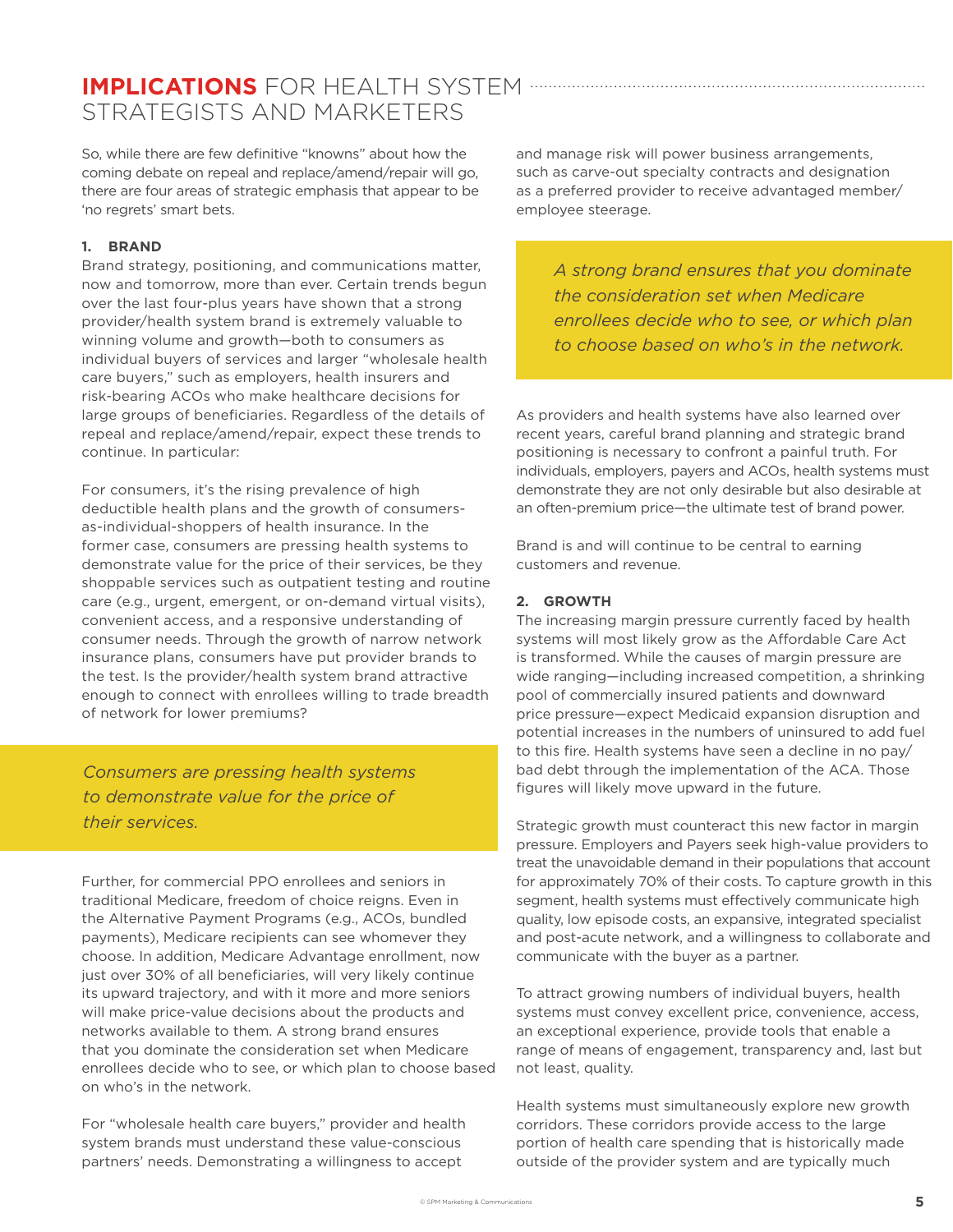## **IMPLICATIONS** FOR HEALTH SYSTEM STRATEGISTS AND MARKETERS

So, while there are few definitive "knowns" about how the coming debate on repeal and replace/amend/repair will go, there are four areas of strategic emphasis that appear to be 'no regrets' smart bets.

#### **1. BRAND**

Brand strategy, positioning, and communications matter, now and tomorrow, more than ever. Certain trends begun over the last four-plus years have shown that a strong provider/health system brand is extremely valuable to winning volume and growth—both to consumers as individual buyers of services and larger "wholesale health care buyers," such as employers, health insurers and risk-bearing ACOs who make healthcare decisions for large groups of beneficiaries. Regardless of the details of repeal and replace/amend/repair, expect these trends to continue. In particular:

For consumers, it's the rising prevalence of high deductible health plans and the growth of consumersas-individual-shoppers of health insurance. In the former case, consumers are pressing health systems to demonstrate value for the price of their services, be they shoppable services such as outpatient testing and routine care (e.g., urgent, emergent, or on-demand virtual visits), convenient access, and a responsive understanding of consumer needs. Through the growth of narrow network insurance plans, consumers have put provider brands to the test. Is the provider/health system brand attractive enough to connect with enrollees willing to trade breadth of network for lower premiums?

*Consumers are pressing health systems to demonstrate value for the price of their services.*

Further, for commercial PPO enrollees and seniors in traditional Medicare, freedom of choice reigns. Even in the Alternative Payment Programs (e.g., ACOs, bundled payments), Medicare recipients can see whomever they choose. In addition, Medicare Advantage enrollment, now just over 30% of all beneficiaries, will very likely continue its upward trajectory, and with it more and more seniors will make price-value decisions about the products and networks available to them. A strong brand ensures that you dominate the consideration set when Medicare enrollees decide who to see, or which plan to choose based on who's in the network.

For "wholesale health care buyers," provider and health system brands must understand these value-conscious partners' needs. Demonstrating a willingness to accept

and manage risk will power business arrangements, such as carve-out specialty contracts and designation as a preferred provider to receive advantaged member/ employee steerage.

*A strong brand ensures that you dominate the consideration set when Medicare enrollees decide who to see, or which plan to choose based on who's in the network.*

As providers and health systems have also learned over recent years, careful brand planning and strategic brand positioning is necessary to confront a painful truth. For individuals, employers, payers and ACOs, health systems must demonstrate they are not only desirable but also desirable at an often-premium price—the ultimate test of brand power.

Brand is and will continue to be central to earning customers and revenue.

#### **2. GROWTH**

The increasing margin pressure currently faced by health systems will most likely grow as the Affordable Care Act is transformed. While the causes of margin pressure are wide ranging—including increased competition, a shrinking pool of commercially insured patients and downward price pressure—expect Medicaid expansion disruption and potential increases in the numbers of uninsured to add fuel to this fire. Health systems have seen a decline in no pay/ bad debt through the implementation of the ACA. Those figures will likely move upward in the future.

Strategic growth must counteract this new factor in margin pressure. Employers and Payers seek high-value providers to treat the unavoidable demand in their populations that account for approximately 70% of their costs. To capture growth in this segment, health systems must effectively communicate high quality, low episode costs, an expansive, integrated specialist and post-acute network, and a willingness to collaborate and communicate with the buyer as a partner.

To attract growing numbers of individual buyers, health systems must convey excellent price, convenience, access, an exceptional experience, provide tools that enable a range of means of engagement, transparency and, last but not least, quality.

Health systems must simultaneously explore new growth corridors. These corridors provide access to the large portion of health care spending that is historically made outside of the provider system and are typically much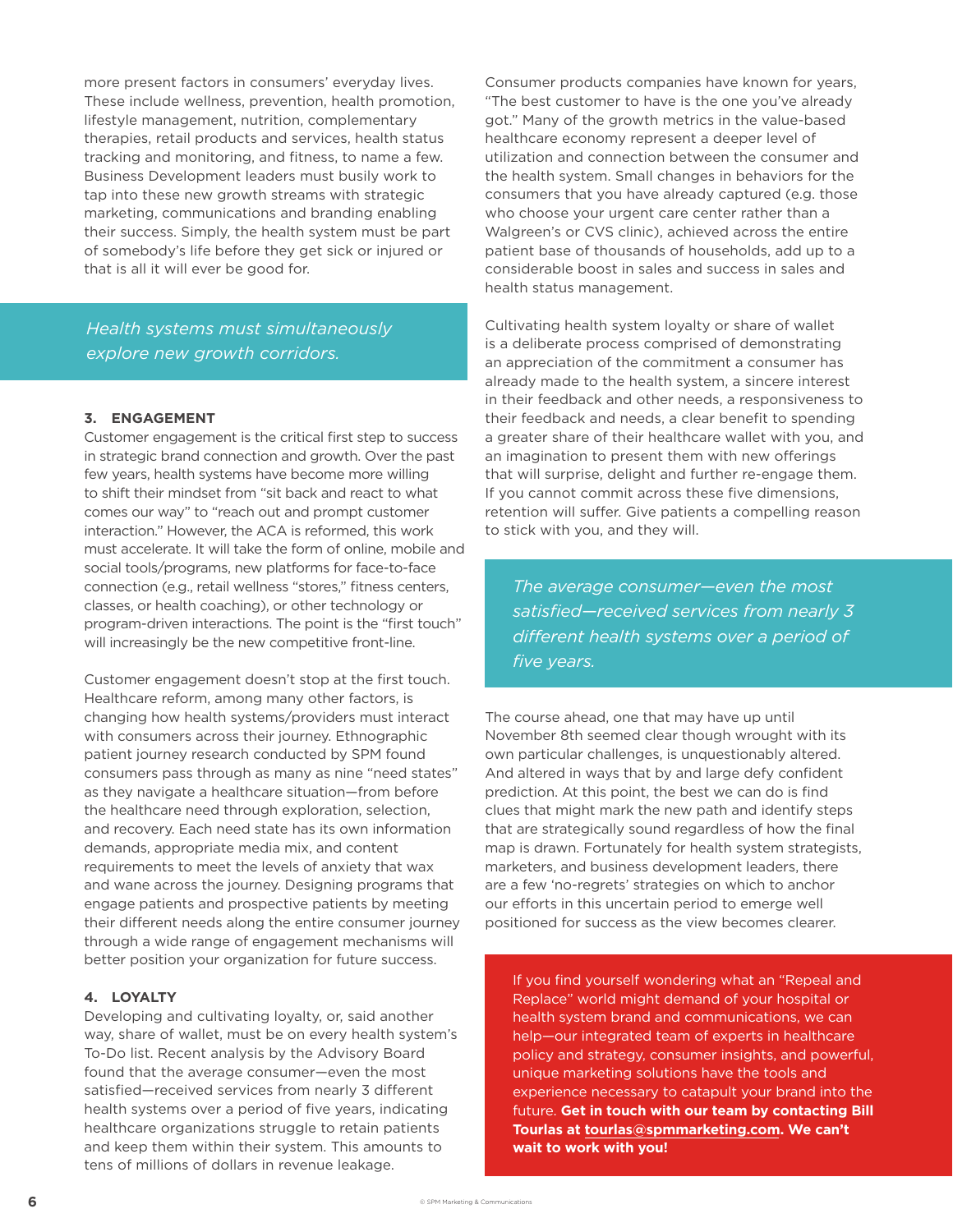more present factors in consumers' everyday lives. These include wellness, prevention, health promotion, lifestyle management, nutrition, complementary therapies, retail products and services, health status tracking and monitoring, and fitness, to name a few. Business Development leaders must busily work to tap into these new growth streams with strategic marketing, communications and branding enabling their success. Simply, the health system must be part of somebody's life before they get sick or injured or that is all it will ever be good for.

*Health systems must simultaneously explore new growth corridors.* 

#### **3. ENGAGEMENT**

Customer engagement is the critical first step to success in strategic brand connection and growth. Over the past few years, health systems have become more willing to shift their mindset from "sit back and react to what comes our way" to "reach out and prompt customer interaction." However, the ACA is reformed, this work must accelerate. It will take the form of online, mobile and social tools/programs, new platforms for face-to-face connection (e.g., retail wellness "stores," fitness centers, classes, or health coaching), or other technology or program-driven interactions. The point is the "first touch" will increasingly be the new competitive front-line.

Customer engagement doesn't stop at the first touch. Healthcare reform, among many other factors, is changing how health systems/providers must interact with consumers across their journey. Ethnographic patient journey research conducted by SPM found consumers pass through as many as nine "need states" as they navigate a healthcare situation—from before the healthcare need through exploration, selection, and recovery. Each need state has its own information demands, appropriate media mix, and content requirements to meet the levels of anxiety that wax and wane across the journey. Designing programs that engage patients and prospective patients by meeting their diferent needs along the entire consumer journey through a wide range of engagement mechanisms will better position your organization for future success.

#### **4. LOYALTY**

Developing and cultivating loyalty, or, said another way, share of wallet, must be on every health system's To-Do list. Recent analysis by the Advisory Board found that the average consumer—even the most satisfied—received services from nearly 3 diferent health systems over a period of five years, indicating healthcare organizations struggle to retain patients and keep them within their system. This amounts to tens of millions of dollars in revenue leakage.

Consumer products companies have known for years, "The best customer to have is the one you've already got." Many of the growth metrics in the value-based healthcare economy represent a deeper level of utilization and connection between the consumer and the health system. Small changes in behaviors for the consumers that you have already captured (e.g. those who choose your urgent care center rather than a Walgreen's or CVS clinic), achieved across the entire patient base of thousands of households, add up to a considerable boost in sales and success in sales and health status management.

Cultivating health system loyalty or share of wallet is a deliberate process comprised of demonstrating an appreciation of the commitment a consumer has already made to the health system, a sincere interest in their feedback and other needs, a responsiveness to their feedback and needs, a clear benefit to spending a greater share of their healthcare wallet with you, and an imagination to present them with new oferings that will surprise, delight and further re-engage them. If you cannot commit across these five dimensions, retention will suffer. Give patients a compelling reason to stick with you, and they will.

*The average consumer—even the most satisfied—received services from nearly 3 diferent health systems over a period of five years.*

The course ahead, one that may have up until November 8th seemed clear though wrought with its own particular challenges, is unquestionably altered. And altered in ways that by and large defy confident prediction. At this point, the best we can do is find clues that might mark the new path and identify steps that are strategically sound regardless of how the final map is drawn. Fortunately for health system strategists, marketers, and business development leaders, there are a few 'no-regrets' strategies on which to anchor our efforts in this uncertain period to emerge well positioned for success as the view becomes clearer.

If you find yourself wondering what an "Repeal and Replace" world might demand of your hospital or health system brand and communications, we can help—our integrated team of experts in healthcare policy and strategy, consumer insights, and powerful, unique marketing solutions have the tools and experience necessary to catapult your brand into the future. **Get in touch with our team by contacting Bill Tourlas at tourlas@spmmarketing.com. We can't wait to work with you!**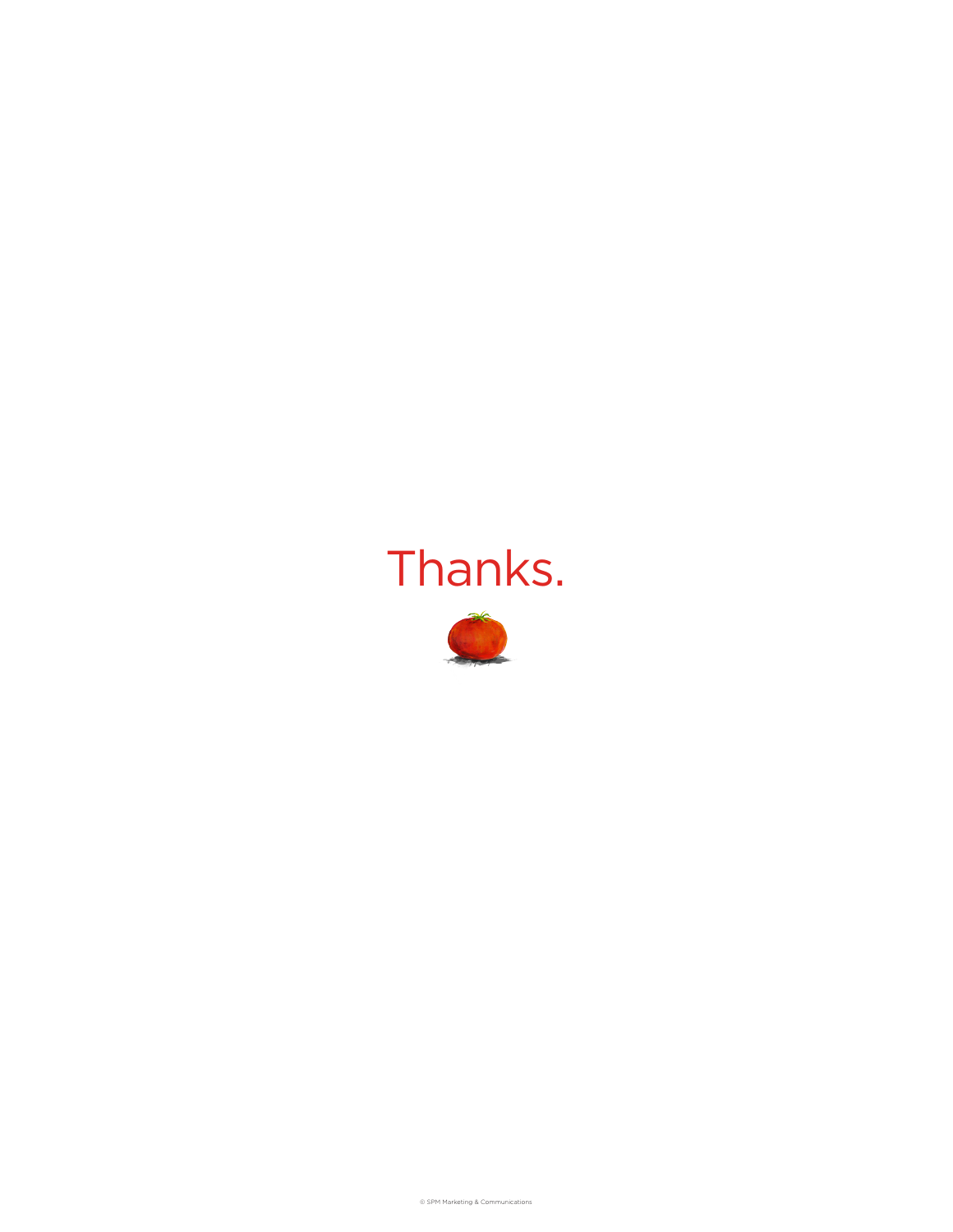# Thanks.